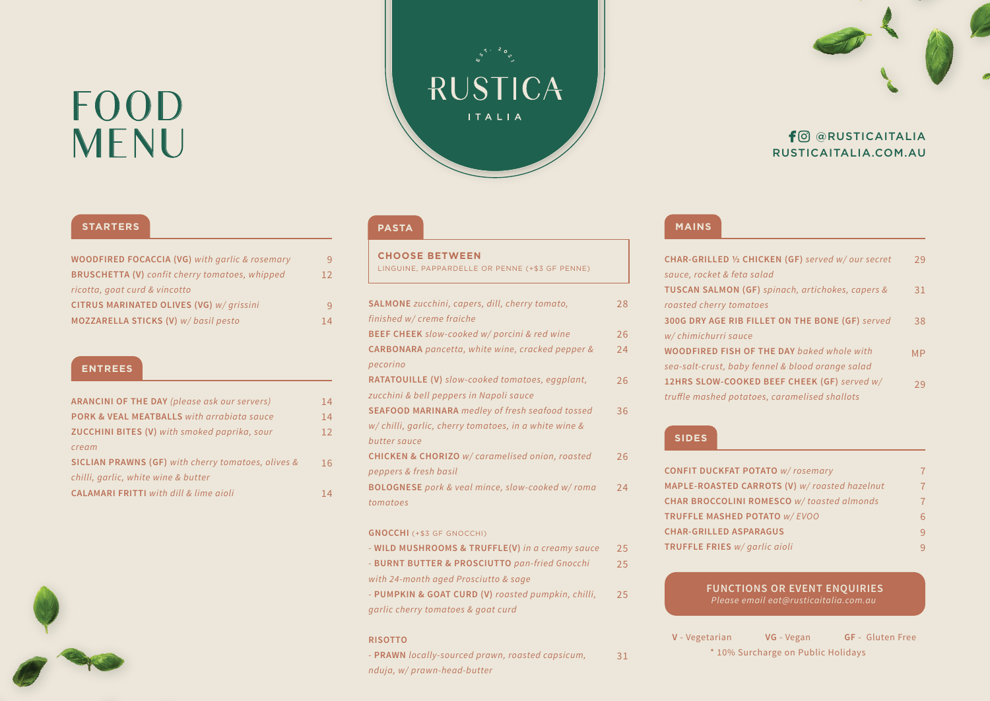## FOOD

### **RUSTICA** ITALIA TO @RUSTICAITALIA<br>RUSTICAITALIA.COM.AU

#### **STARTERS**

| <b>WOODFIRED FOCACCIA (VG)</b> with garlic & rosemary | 9  |
|-------------------------------------------------------|----|
| <b>BRUSCHETTA (V)</b> confit cherry tomatoes, whipped | 12 |
| ricotta, goat curd & vincotto                         |    |
| CITRUS MARINATED OLIVES (VG) w/ grissini              | 9  |
| MOZZARELLA STICKS (V) w/basil pesto                   | 14 |

#### **ENTREES**

| <b>ARANCINI OF THE DAY (please ask our servers)</b>       | 14 |
|-----------------------------------------------------------|----|
| <b>PORK &amp; VEAL MEATBALLS</b> with arrabiata sauce     | 14 |
| <b>ZUCCHINI BITES (V)</b> with smoked paprika, sour       | 12 |
| cream                                                     |    |
| <b>SICLIAN PRAWNS (GF)</b> with cherry tomatoes, olives & | 16 |
| chilli, garlic, white wine & butter                       |    |
| <b>CALAMARI FRITTI</b> with dill & lime aioli             | 14 |



#### **PASTA**

**CHOOSE BETWEEN** LINGUINE, PAPPARDELLE OR PENNE (+\$3 GF PENNE)

| <b>SALMONE</b> zucchini, capers, dill, cherry tomato,      | 28 |
|------------------------------------------------------------|----|
| finished w/ creme fraiche                                  |    |
| <b>BEEF CHEEK</b> slow-cooked w/porcini & red wine         | 26 |
| CARBONARA pancetta, white wine, cracked pepper &           | 24 |
| pecorino                                                   |    |
| <b>RATATOUILLE (V)</b> slow-cooked tomatoes, eggplant,     | 26 |
| zucchini & bell peppers in Napoli sauce                    |    |
| <b>SEAFOOD MARINARA</b> medley of fresh seafood tossed     | 36 |
| w/ chilli, garlic, cherry tomatoes, in a white wine &      |    |
| butter sauce                                               |    |
| <b>CHICKEN &amp; CHORIZO</b> w/ caramelised onion, roasted | 26 |
| peppers & fresh basil                                      |    |
| BOLOGNESE pork & veal mince, slow-cooked w/roma            | 24 |
| tomatoes                                                   |    |
|                                                            |    |
| <b>GNOCCHI (+\$3 GF GNOCCHI)</b>                           |    |
| - WILD MUSHROOMS & TRUFFLE(V) in a creamy sauce            | 25 |
| - BURNT BUTTER & PROSCIUTTO pan-fried Gnocchi              | 25 |

*with 24-month aged Prosciutto & sage* 

*-* **PUMPKIN & GOAT CURD (V)** *roasted pumpkin, chilli, garlic cherry tomatoes & goat curd*  25

#### **RISOTTO**

*-* **PRAWN** *locally-sourced prawn, roasted capsicum, nduja, w/ prawn-head-butter*  31



### RUSTICAITALIA.COM.AU

#### **MAINS**

| CHAR-GRILLED 1/2 CHICKEN (GF) served w/our secret | 79        |
|---------------------------------------------------|-----------|
| sauce, rocket & feta salad                        |           |
| TUSCAN SALMON (GF) spinach, artichokes, capers &  | 31        |
| roasted cherry tomatoes                           |           |
| 300G DRY AGE RIB FILLET ON THE BONE (GF) served   | 38        |
| w/ chimichurri sauce                              |           |
| <b>WOODFIRED FISH OF THE DAY baked whole with</b> | <b>MP</b> |
| sea-salt-crust, baby fennel & blood orange salad  |           |
| 12HRS SLOW-COOKED BEEF CHEEK (GF) served w/       | 79        |
| truffle mashed potatoes, caramelised shallots     |           |
|                                                   |           |

#### **SIDES**

| <b>CONFIT DUCKFAT POTATO W/rosemary</b>      | 7              |
|----------------------------------------------|----------------|
| MAPLE-ROASTED CARROTS (V) w/roasted hazelnut | $\overline{7}$ |
| CHAR BROCCOLINI ROMESCO w/toasted almonds    | 7              |
| TRUFFLE MASHED POTATO W/ EVOO                | 6              |
| <b>CHAR-GRILLED ASPARAGUS</b>                | 9              |
| TRUFFLE FRIES w/ garlic aioli                | 9              |

**FUNCTIONS OR EVENT ENQUIRIES**

**V** - Vegetarian **VG** - Vegan **GF** - Gluten Free \* 10% Surcharge on Public Holidays